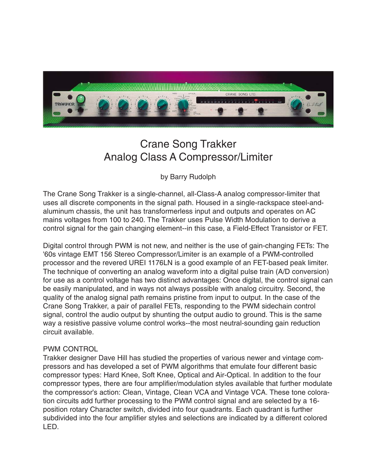

# Crane Song Trakker Analog Class A Compressor/Limiter

by Barry Rudolph

The Crane Song Trakker is a single-channel, all-Class-A analog compressor-limiter that uses all discrete components in the signal path. Housed in a single-rackspace steel-andaluminum chassis, the unit has transformerless input and outputs and operates on AC mains voltages from 100 to 240. The Trakker uses Pulse Width Modulation to derive a control signal for the gain changing element--in this case, a Field-Effect Transistor or FET.

Digital control through PWM is not new, and neither is the use of gain-changing FETs: The '60s vintage EMT 156 Stereo Compressor/Limiter is an example of a PWM-controlled processor and the revered UREI 1176LN is a good example of an FET-based peak limiter. The technique of converting an analog waveform into a digital pulse train (A/D conversion) for use as a control voltage has two distinct advantages: Once digital, the control signal can be easily manipulated, and in ways not always possible with analog circuitry. Second, the quality of the analog signal path remains pristine from input to output. In the case of the Crane Song Trakker, a pair of parallel FETs, responding to the PWM sidechain control signal, control the audio output by shunting the output audio to ground. This is the same way a resistive passive volume control works--the most neutral-sounding gain reduction circuit available.

# PWM CONTROL

Trakker designer Dave Hill has studied the properties of various newer and vintage compressors and has developed a set of PWM algorithms that emulate four different basic compressor types: Hard Knee, Soft Knee, Optical and Air-Optical. In addition to the four compressor types, there are four amplifier/modulation styles available that further modulate the compressor's action: Clean, Vintage, Clean VCA and Vintage VCA. These tone coloration circuits add further processing to the PWM control signal and are selected by a 16 position rotary Character switch, divided into four quadrants. Each quadrant is further subdivided into the four amplifier styles and selections are indicated by a different colored LED.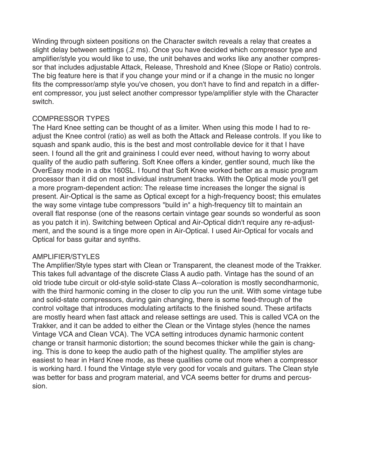Winding through sixteen positions on the Character switch reveals a relay that creates a slight delay between settings (.2 ms). Once you have decided which compressor type and amplifier/style you would like to use, the unit behaves and works like any another compressor that includes adjustable Attack, Release, Threshold and Knee (Slope or Ratio) controls. The big feature here is that if you change your mind or if a change in the music no longer fits the compressor/amp style you've chosen, you don't have to find and repatch in a different compressor, you just select another compressor type/amplifier style with the Character switch.

# COMPRESSOR TYPES

The Hard Knee setting can be thought of as a limiter. When using this mode I had to readjust the Knee control (ratio) as well as both the Attack and Release controls. If you like to squash and spank audio, this is the best and most controllable device for it that I have seen. I found all the grit and graininess I could ever need, without having to worry about quality of the audio path suffering. Soft Knee offers a kinder, gentler sound, much like the OverEasy mode in a dbx 160SL. I found that Soft Knee worked better as a music program processor than it did on most individual instrument tracks. With the Optical mode you'll get a more program-dependent action: The release time increases the longer the signal is present. Air-Optical is the same as Optical except for a high-frequency boost; this emulates the way some vintage tube compressors "build in" a high-frequency tilt to maintain an overall flat response (one of the reasons certain vintage gear sounds so wonderful as soon as you patch it in). Switching between Optical and Air-Optical didn't require any re-adjustment, and the sound is a tinge more open in Air-Optical. I used Air-Optical for vocals and Optical for bass guitar and synths.

# AMPLIFIER/STYLES

The Amplifier/Style types start with Clean or Transparent, the cleanest mode of the Trakker. This takes full advantage of the discrete Class A audio path. Vintage has the sound of an old triode tube circuit or old-style solid-state Class A--coloration is mostly secondharmonic, with the third harmonic coming in the closer to clip you run the unit. With some vintage tube and solid-state compressors, during gain changing, there is some feed-through of the control voltage that introduces modulating artifacts to the finished sound. These artifacts are mostly heard when fast attack and release settings are used. This is called VCA on the Trakker, and it can be added to either the Clean or the Vintage styles (hence the names Vintage VCA and Clean VCA). The VCA setting introduces dynamic harmonic content change or transit harmonic distortion; the sound becomes thicker while the gain is changing. This is done to keep the audio path of the highest quality. The amplifier styles are easiest to hear in Hard Knee mode, as these qualities come out more when a compressor is working hard. I found the Vintage style very good for vocals and guitars. The Clean style was better for bass and program material, and VCA seems better for drums and percussion.